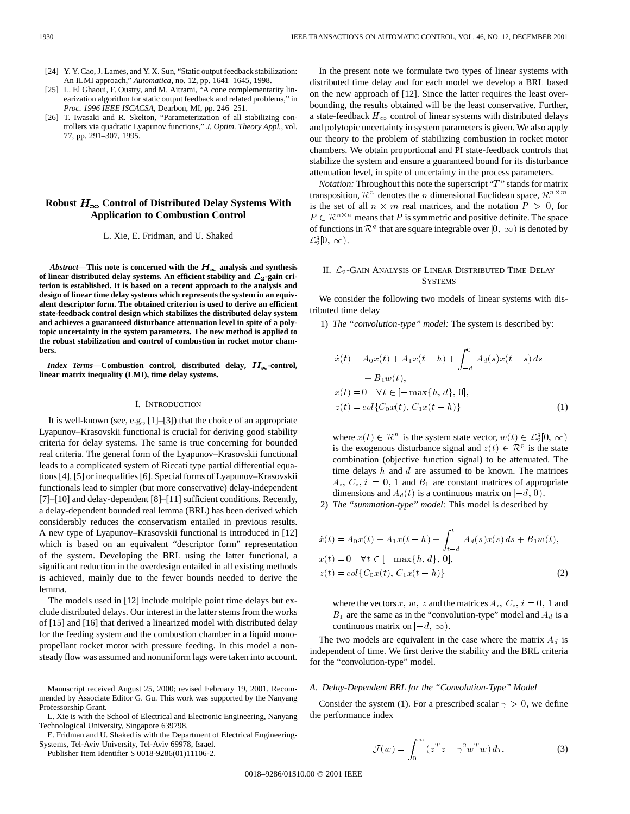- [24] Y. Y. Cao, J. Lames, and Y. X. Sun, "Static output feedback stabilization: An ILMI approach," *Automatica*, no. 12, pp. 1641–1645, 1998.
- [25] L. El Ghaoui, F. Oustry, and M. Aitrami, "A cone complementarity linearization algorithm for static output feedback and related problems," in *Proc. 1996 IEEE ISCACSA*, Dearbon, MI, pp. 246–251.
- [26] T. Iwasaki and R. Skelton, "Parameterization of all stabilizing controllers via quadratic Lyapunov functions," *J. Optim. Theory Appl.*, vol. 77, pp. 291–307, 1995.

# Robust  $H_{\infty}$  Control of Distributed Delay Systems With **Application to Combustion Control**

## L. Xie, E. Fridman, and U. Shaked

*Abstract*—This note is concerned with the  $H_{\infty}$  analysis and synthesis of linear distributed delay systems. An efficient stability and  $\mathcal{L}_2$ -gain cri**terion is established. It is based on a recent approach to the analysis and design of linear time delay systems which represents the system in an equivalent descriptor form. The obtained criterion is used to derive an efficient state-feedback control design which stabilizes the distributed delay system and achieves a guaranteed disturbance attenuation level in spite of a polytopic uncertainty in the system parameters. The new method is applied to the robust stabilization and control of combustion in rocket motor chambers.**

*Index Terms*—Combustion control, distributed delay,  $H_{\infty}$ -control, **linear matrix inequality (LMI), time delay systems.**

#### I. INTRODUCTION

It is well-known (see, e.g., [1]–[3]) that the choice of an appropriate Lyapunov–Krasovskii functional is crucial for deriving good stability criteria for delay systems. The same is true concerning for bounded real criteria. The general form of the Lyapunov–Krasovskii functional leads to a complicated system of Riccati type partial differential equations [4], [5] or inequalities [6]. Special forms of Lyapunov–Krasovskii functionals lead to simpler (but more conservative) delay-independent [7]–[10] and delay-dependent [8]–[11] sufficient conditions. Recently, a delay-dependent bounded real lemma (BRL) has been derived which considerably reduces the conservatism entailed in previous results. A new type of Lyapunov–Krasovskii functional is introduced in [12] which is based on an equivalent "descriptor form" representation of the system. Developing the BRL using the latter functional, a significant reduction in the overdesign entailed in all existing methods is achieved, mainly due to the fewer bounds needed to derive the lemma.

The models used in [12] include multiple point time delays but exclude distributed delays. Our interest in the latter stems from the works of [15] and [16] that derived a linearized model with distributed delay for the feeding system and the combustion chamber in a liquid monopropellant rocket motor with pressure feeding. In this model a nonsteady flow was assumed and nonuniform lags were taken into account.

Manuscript received August 25, 2000; revised February 19, 2001. Recommended by Associate Editor G. Gu. This work was supported by the Nanyang Professorship Grant.

L. Xie is with the School of Electrical and Electronic Engineering, Nanyang Technological University, Singapore 639798.

E. Fridman and U. Shaked is with the Department of Electrical Engineering-Systems, Tel-Aviv University, Tel-Aviv 69978, Israel.

Publisher Item Identifier S 0018-9286(01)11106-2.

In the present note we formulate two types of linear systems with distributed time delay and for each model we develop a BRL based on the new approach of [12]. Since the latter requires the least overbounding, the results obtained will be the least conservative. Further, a state-feedback  $H_{\infty}$  control of linear systems with distributed delays and polytopic uncertainty in system parameters is given. We also apply our theory to the problem of stabilizing combustion in rocket motor chambers. We obtain proportional and PI state-feedback controls that stabilize the system and ensure a guaranteed bound for its disturbance attenuation level, in spite of uncertainty in the process parameters.

*Notation:* Throughout this note the superscript "T" stands for matrix transposition,  $\mathcal{R}^n$  denotes the *n* dimensional Euclidean space,  $\mathcal{R}^{n \times m}$ is the set of all  $n \times m$  real matrices, and the notation  $P > 0$ , for  $P \in \mathbb{R}^{n \times n}$  means that P is symmetric and positive definite. The space of functions in  $\mathcal{R}^q$  that are square integrable over  $[0, \infty)$  is denoted by  $\mathcal{L}_2^q[0, \infty)$ .

## II.  $\mathcal{L}_2$ -Gain Analysis of Linear Distributed Time Delay **SYSTEMS**

We consider the following two models of linear systems with distributed time delay

1) *The "convolution-type" model:* The system is described by:

$$
\begin{aligned}\n\dot{x}(t) &= A_0 x(t) + A_1 x(t - h) + \int_{-d}^{0} A_d(s) x(t + s) \, ds \\
&\quad + B_1 w(t), \\
x(t) &= 0 \quad \forall t \in [-\max\{h, d\}, 0], \\
z(t) &= col\{C_0 x(t), C_1 x(t - h)\}\n\end{aligned} \tag{1}
$$

where  $x(t) \in \mathcal{R}^n$  is the system state vector,  $w(t) \in \mathcal{L}_2^q[0, \infty)$ is the exogenous disturbance signal and  $z(t) \in \mathcal{R}^p$  is the state combination (objective function signal) to be attenuated. The time delays  $h$  and  $d$  are assumed to be known. The matrices  $A_i, C_i, i = 0, 1$  and  $B_1$  are constant matrices of appropriate dimensions and  $A_d(t)$  is a continuous matrix on  $[-d, 0)$ .

2) *The "summation-type" model:* This model is described by

$$
\begin{aligned}\n\dot{x}(t) &= A_0 x(t) + A_1 x(t - h) + \int_{t - d}^t A_d(s) x(s) \, ds + B_1 w(t), \\
x(t) &= 0 \quad \forall t \in [-\max\{h, d\}, 0], \\
z(t) &= col\{C_0 x(t), C_1 x(t - h)\}\n\end{aligned} \tag{2}
$$

where the vectors  $x, w, z$  and the matrices  $A_i, C_i, i = 0, 1$  and  $B_1$  are the same as in the "convolution-type" model and  $A_d$  is a continuous matrix on  $[-d, \infty)$ .

The two models are equivalent in the case where the matrix  $A_d$  is independent of time. We first derive the stability and the BRL criteria for the "convolution-type" model.

## *A. Delay-Dependent BRL for the "Convolution-Type" Model*

Consider the system (1). For a prescribed scalar  $\gamma > 0$ , we define the performance index

$$
\mathcal{J}(w) = \int_0^\infty \left( z^T z - \gamma^2 w^T w \right) d\tau.
$$
 (3)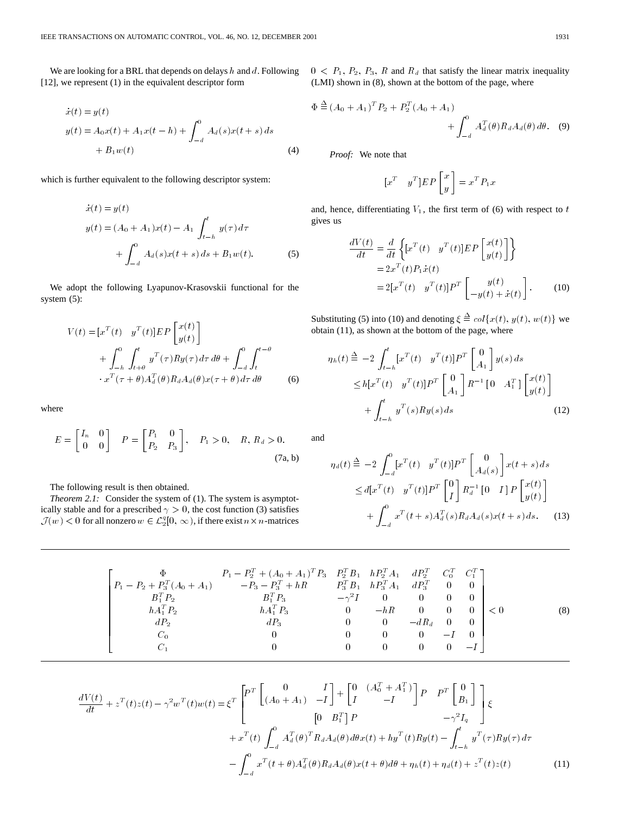We are looking for a BRL that depends on delays  $h$  and  $d$ . Following [12], we represent (1) in the equivalent descriptor form

$$
\begin{aligned} \dot{x}(t) &= y(t) \\ y(t) &= A_0 x(t) + A_1 x(t-h) + \int_{-d}^0 A_d(s) x(t+s) \, ds \\ &+ B_1 w(t) \end{aligned} \tag{4}
$$

which is further equivalent to the following descriptor system:

$$
\begin{aligned} \dot{x}(t) &= y(t) \\ y(t) &= (A_0 + A_1)x(t) - A_1 \int_{t-h}^t y(\tau) \, d\tau \\ &+ \int_{-d}^0 A_d(s)x(t+s) \, ds + B_1 w(t). \end{aligned} \tag{5}
$$

We adopt the following Lyapunov-Krasovskii functional for the system (5):

$$
V(t) = [xT(t) yT(t)]EP\begin{bmatrix} x(t) \\ y(t) \end{bmatrix}+ \int_{-h}^{0} \int_{t+\theta}^{t} yT(\tau)Ry(\tau) d\tau d\theta + \int_{-d}^{0} \int_{t}^{t-\theta} \cdot xT(\tau + \theta)A_dT(\theta)R_dA_d(\theta)x(\tau + \theta) d\tau d\theta
$$
 (6)

where

$$
E = \begin{bmatrix} I_n & 0 \\ 0 & 0 \end{bmatrix} \quad P = \begin{bmatrix} P_1 & 0 \\ P_2 & P_3 \end{bmatrix}, \quad P_1 > 0, \quad R, R_d > 0.
$$
 (7a, b)

The following result is then obtained.

*Theorem 2.1:* Consider the system of (1). The system is asymptotically stable and for a prescribed  $\gamma > 0$ , the cost function (3) satisfies  $\mathcal{J}(w) < 0$  for all nonzero  $w \in \mathcal{L}_2^q[0, \infty)$ , if there exist  $n \times n$ -matrices

 $0 < P_1, P_2, P_3, R$  and  $R_d$  that satisfy the linear matrix inequality (LMI) shown in (8), shown at the bottom of the page, where

$$
\Phi \stackrel{\Delta}{=} (A_0 + A_1)^T P_2 + P_2^T (A_0 + A_1) + \int_{-d}^0 A_d^T (\theta) R_d A_d (\theta) d\theta.
$$
 (9)

*Proof:* We note that

$$
[x^T \quad y^T]EP\begin{bmatrix} x \\ y \end{bmatrix} = x^T P_1 x
$$

and, hence, differentiating  $V_1$ , the first term of (6) with respect to t gives us

$$
\frac{dV(t)}{dt} = \frac{d}{dt} \left\{ [x^T(t) \quad y^T(t)]EP\begin{bmatrix} x(t) \\ y(t) \end{bmatrix} \right\}
$$

$$
= 2x^T(t)P_1\dot{x}(t)
$$

$$
= 2[x^T(t) \quad y^T(t)]P^T\begin{bmatrix} y(t) \\ -y(t) + \dot{x}(t) \end{bmatrix}.
$$
(10)

Substituting (5) into (10) and denoting  $\xi \triangleq col\{x(t), y(t), w(t)\}$  we obtain (11), as shown at the bottom of the page, where

$$
\eta_h(t) \triangleq -2 \int_{t-h}^t [x^T(t) \quad y^T(t)] P^T \begin{bmatrix} 0 \\ A_1 \end{bmatrix} y(s) ds
$$
  
\n
$$
\leq h[x^T(t) \quad y^T(t)] P^T \begin{bmatrix} 0 \\ A_1 \end{bmatrix} R^{-1} [0 \quad A_1^T] \begin{bmatrix} x(t) \\ y(t) \end{bmatrix}
$$
  
\n
$$
+ \int_{t-h}^t y^T(s) R y(s) ds
$$
\n(12)

and

$$
\eta_d(t) \stackrel{\Delta}{=} -2 \int_{-d}^{0} [x^T(t) \quad y^T(t)] P^T \begin{bmatrix} 0 \\ A_d(s) \end{bmatrix} x(t+s) ds
$$
  
\n
$$
\leq d[x^T(t) \quad y^T(t)] P^T \begin{bmatrix} 0 \\ I \end{bmatrix} R_d^{-1} [0 \quad I] P \begin{bmatrix} x(t) \\ y(t) \end{bmatrix}
$$
  
\n
$$
+ \int_{-d}^{0} x^T(t+s) A_d^{T}(s) R_d A_d(s) x(t+s) ds. \quad (13)
$$

$$
\begin{bmatrix}\n\Phi & P_1 - P_2^T + (A_0 + A_1)^T P_3 & P_2^T B_1 & h P_2^T A_1 & d P_2^T & C_0^T & C_1^T \\
P_1 - P_2 + P_3^T (A_0 + A_1) & -P_3 - P_3^T + hR & P_3^T B_1 & h P_3^T A_1 & d P_3^T & 0 & 0 \\
B_1^T P_2 & B_1^T P_3 & -\gamma^2 I & 0 & 0 & 0 & 0 \\
h A_1^T P_2 & h A_1^T P_3 & 0 & -hR & 0 & 0 & 0 \\
d P_2 & d P_3 & 0 & 0 & -d R_d & 0 & 0 \\
C_0 & 0 & 0 & 0 & 0 & -I & 0 \\
C_1 & 0 & 0 & 0 & 0 & 0 & -I\n\end{bmatrix} < 0
$$
\n(8)

$$
\frac{dV(t)}{dt} + z^{T}(t)z(t) - \gamma^{2}w^{T}(t)w(t) = \xi^{T} \begin{bmatrix} P^{T} \begin{bmatrix} 0 & I \ (A_{0} + A_{1}) & -I \end{bmatrix} + \begin{bmatrix} 0 & (A_{0}^{T} + A_{1}^{T}) \ I & -I \end{bmatrix} P & P^{T} \begin{bmatrix} 0 \ B_{1} \end{bmatrix} \end{bmatrix} \xi
$$
  
\n
$$
+ x^{T}(t) \int_{-d}^{0} A_{d}^{T}(\theta)^{T} R_{d} A_{d}(\theta) d\theta x(t) + h y^{T}(t) R y(t) - \int_{t-h}^{t} y^{T}(\tau) R y(\tau) d\tau
$$
  
\n
$$
- \int_{-d}^{0} x^{T}(t + \theta) A_{d}^{T}(\theta) R_{d} A_{d}(\theta) x(t + \theta) d\theta + \eta_{h}(t) + \eta_{d}(t) + z^{T}(t) z(t)
$$
\n(11)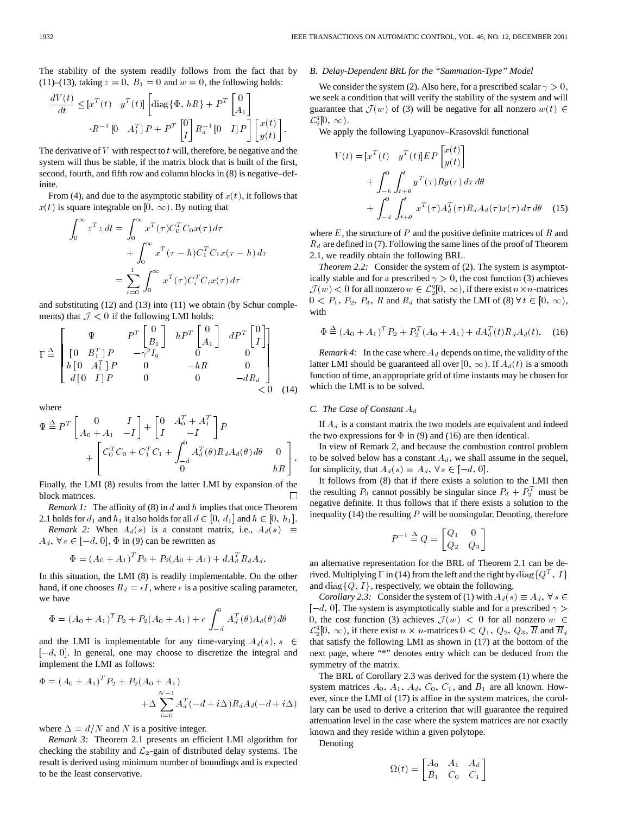The stability of the system readily follows from the fact that by (11)–(13), taking  $z \equiv 0$ ,  $B_1 = 0$  and  $w \equiv 0$ , the following holds:

$$
\begin{split} \frac{dV(t)}{dt}\leq\left[x^T(t)-y^T(t)\right]\left[\mathrm{diag}\{\Phi,\,hR\}+P^T\begin{bmatrix}0\\A_1\end{bmatrix}\right.\\ \left.R^{-1}\begin{bmatrix}0&A_1^T\end{bmatrix}P+P^T\begin{bmatrix}0\\I\end{bmatrix}R_d^{-1}\begin{bmatrix}0&I\end{bmatrix}P\right]\begin{bmatrix}x(t)\\y(t)\end{bmatrix}. \end{split}
$$

The derivative of  $V$  with respect to  $t$  will, therefore, be negative and the system will thus be stable, if the matrix block that is built of the first, second, fourth, and fifth row and column blocks in (8) is negative–definite.

From (4), and due to the asymptotic stability of  $x(t)$ , it follows that  $x(t)$  is square integrable on [0,  $\infty$ ). By noting that

$$
\int_0^\infty z^T z dt = \int_0^\infty x^T(\tau) C_0^T C_0 x(\tau) d\tau
$$

$$
+ \int_0^\infty x^T(\tau - h) C_1^T C_1 x(\tau - h) d\tau
$$

$$
= \sum_{i=0}^1 \int_0^\infty x^T(\tau) C_i^T C_i x(\tau) d\tau
$$

and substituting (12) and (13) into (11) we obtain (by Schur complements) that  $\mathcal{J} < 0$  if the following LMI holds:

 = <sup>P</sup> <sup>T</sup> <sup>0</sup> B1 hP <sup>T</sup> <sup>0</sup> A1 dP <sup>T</sup> <sup>0</sup> I [ 0 B<sup>T</sup> <sup>1</sup> ] P 2Iq 0 0 h [ 0 A<sup>T</sup> <sup>1</sup> ] P 0 hR 0 d [ 0 I ] P 0 0 dRd < 0 (14)

where

$$
\Psi \triangleq P^{T} \begin{bmatrix} 0 & I \\ A_{0} + A_{1} & -I \end{bmatrix} + \begin{bmatrix} 0 & A_{0}^{T} + A_{1}^{T} \\ I & -I \end{bmatrix} P + \begin{bmatrix} C_{0}^{T} C_{0} + C_{1}^{T} C_{1} + \int_{-d}^{0} A_{d}^{T}(\theta) R_{d} A_{d}(\theta) d\theta & 0 \\ 0 & hR \end{bmatrix}.
$$

Finally, the LMI (8) results from the latter LMI by expansion of the block matrices.  $\Box$ 

*Remark 1:* The affinity of (8) in d and h implies that once Theorem 2.1 holds for  $d_1$  and  $h_1$  it also holds for all  $d \in [0, d_1]$  and  $h \in [0, h_1]$ .

*Remark 2:* When  $A_d(s)$  is a constant matrix, i.e.,  $A_d(s) \equiv$  $A_d$ ,  $\forall s \in [-d, 0]$ ,  $\Phi$  in (9) can be rewritten as

$$
\Phi = (A_0 + A_1)^T P_2 + P_2(A_0 + A_1) + dA_d^T R_d A_d.
$$

In this situation, the LMI (8) is readily implementable. On the other hand, if one chooses  $R_d = \epsilon I$ , where  $\epsilon$  is a positive scaling parameter, we have

$$
\Phi = (A_0 + A_1)^T P_2 + P_2(A_0 + A_1) + \epsilon \int_{-d}^{0} A_d^T(\theta) A_d(\theta) d\theta
$$

and the LMI is implementable for any time-varying  $A_d(s)$ ,  $s \in \mathcal{Z}$  $[-d, 0]$ . In general, one may choose to discretize the integral and implement the LMI as follows:

$$
\Phi = (A_0 + A_1)^T P_2 + P_2(A_0 + A_1) + \Delta \sum_{i=0}^{N-1} A_d^T (-d + i\Delta) R_d A_d (-d + i\Delta)
$$

where  $\Delta = d/N$  and N is a positive integer.

*Remark 3:* Theorem 2.1 presents an efficient LMI algorithm for checking the stability and  $\mathcal{L}_2$ -gain of distributed delay systems. The result is derived using minimum number of boundings and is expected to be the least conservative.

### *B. Delay-Dependent BRL for the "Summation-Type" Model*

We consider the system (2). Also here, for a prescribed scalar  $\gamma > 0$ , we seek a condition that will verify the stability of the system and will guarantee that  $\mathcal{J}(w)$  of (3) will be negative for all nonzero  $w(t) \in$  $\mathcal{L}_2^q[0, \infty)$ .

We apply the following Lyapunov–Krasovskii functional

$$
V(t) = [xT(t) yT(t)]EP\begin{bmatrix}x(t)\\y(t)\end{bmatrix}+ \int_{-h}^{0} \int_{t+\theta}^{t} yT(\tau)Ry(\tau) d\tau d\theta+ \int_{-d}^{0} \int_{t+\theta}^{t} xT(\tau)A_dT(\tau)R_dA_d(\tau)x(\tau) d\tau d\theta
$$
 (15)

where  $E$ , the structure of  $P$  and the positive definite matrices of  $R$  and  $R_d$  are defined in (7). Following the same lines of the proof of Theorem 2.1, we readily obtain the following BRL.

*Theorem 2.2:* Consider the system of (2). The system is asymptotically stable and for a prescribed  $\gamma > 0$ , the cost function (3) achieves  $\mathcal{J}(w) < 0$  for all nonzero  $w \in \mathcal{L}_2^q[0, \infty)$ , if there exist  $n \times n$ -matrices  $0 < P_1, P_2, P_3, R$  and  $R_d$  that satisfy the LMI of (8)  $\forall t \in [0, \infty)$ , with

$$
\Phi \stackrel{\Delta}{=} (A_0 + A_1)^T P_2 + P_2^T (A_0 + A_1) + dA_d^T(t) R_d A_d(t). \quad (16)
$$

*Remark 4:* In the case where  $A_d$  depends on time, the validity of the latter LMI should be guaranteed all over  $[0, \infty)$ . If  $A_d(t)$  is a smooth function of time, an appropriate grid of time instants may be chosen for which the LMI is to be solved.

## *C. The Case of Constant*  $A_d$

If  $A_d$  is a constant matrix the two models are equivalent and indeed the two expressions for  $\Phi$  in (9) and (16) are then identical.

In view of Remark 2, and because the combustion control problem to be solved below has a constant  $A_d$ , we shall assume in the sequel, for simplicity, that  $A_d(s) \equiv A_d$ ,  $\forall s \in [-d, 0]$ .

It follows from (8) that if there exists a solution to the LMI then the resulting  $P_3$  cannot possibly be singular since  $P_3 + P_3^T$  must be negative definite. It thus follows that if there exists a solution to the inequality (14) the resulting  $P$  will be nonsingular. Denoting, therefore

$$
P^{-1} \stackrel{\Delta}{=} Q = \begin{bmatrix} Q_1 & 0 \\ Q_2 & Q_3 \end{bmatrix}
$$

an alternative representation for the BRL of Theorem 2.1 can be derived. Multiplying  $\Gamma$  in (14) from the left and the right by  $\text{diag}\{Q^T, I\}$ and diag $\{Q, I\}$ , respectively, we obtain the following.

*Corollary 2.3:* Consider the system of (1) with  $A_d(s) \equiv A_d$ ,  $\forall s \in \mathbb{R}$  $[-d, 0]$ . The system is asymptotically stable and for a prescribed  $\gamma$ 0, the cost function (3) achieves  $\mathcal{J}(w) < 0$  for all nonzero  $w \in$  $\mathcal{L}_2^q[0,\infty)$ , if there exist  $n \times n$ -matrices  $0 < Q_1, Q_2, Q_3, \overline{R}$  and  $\overline{R}_d$ that satisfy the following LMI as shown in (17) at the bottom of the next page, where "\*" denotes entry which can be deduced from the symmetry of the matrix.

The BRL of Corollary 2.3 was derived for the system (1) where the system matrices  $A_0$ ,  $A_1$ ,  $A_d$ ,  $C_0$ ,  $C_1$ , and  $B_1$  are all known. However, since the LMI of (17) is affine in the system matrices, the corollary can be used to derive a criterion that will guarantee the required attenuation level in the case where the system matrices are not exactly known and they reside within a given polytope.

Denoting

$$
\Omega(t) = \begin{bmatrix} A_0 & A_1 & A_d \\ B_1 & C_0 & C_1 \end{bmatrix}
$$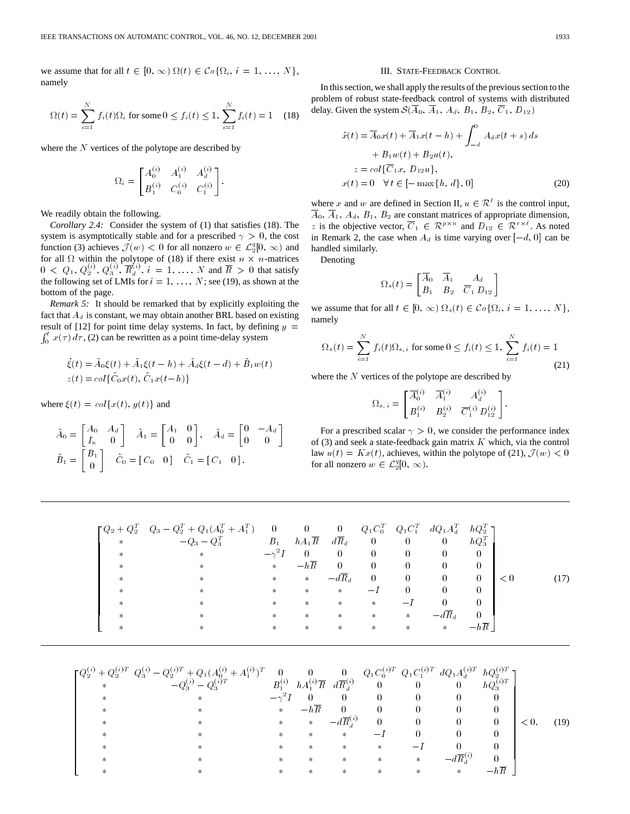we assume that for all  $t \in [0, \infty)$   $\Omega(t) \in \mathcal{C}_0 \{ \Omega_i, i = 1, \ldots, N \},$ namely

$$
\Omega(t) = \sum_{i=1}^{N} f_i(t)\Omega_i \text{ for some } 0 \le f_i(t) \le 1, \sum_{i=1}^{N} f_i(t) = 1 \quad (18)
$$

where the  $N$  vertices of the polytope are described by

$$
\Omega_i = \begin{bmatrix} A_0^{(i)} & A_1^{(i)} & A_d^{(i)} \\ B_1^{(i)} & C_0^{(i)} & C_1^{(i)} \end{bmatrix}.
$$

We readily obtain the following.

*Corollary 2.4:* Consider the system of (1) that satisfies (18). The system is asymptotically stable and for a prescribed  $\gamma > 0$ , the cost function (3) achieves  $\mathcal{J}(w) < 0$  for all nonzero  $w \in \mathcal{L}_2^q[0, \infty)$  and for all  $\Omega$  within the polytope of (18) if there exist  $n \times n$ -matrices  $0 \leq Q_1, Q_2^{(i)}, Q_3^{(i)}, \overline{R}_d^{(i)}, i = 1, ..., N$  and  $\overline{R} > 0$  that satisfy the following set of LMIs for  $i = 1, \ldots, N$ ; see (19), as shown at the bottom of the page.

*Remark 5:* It should be remarked that by explicitly exploiting the fact that  $A_d$  is constant, we may obtain another BRL based on existing result of [12] for point time delay systems. In fact, by defining  $y =$  $\int_0^t x(\tau) d\tau$ , (2) can be rewritten as a point time-delay system

$$
\dot{\xi}(t) = \tilde{A}_0 \xi(t) + \tilde{A}_1 \xi(t - h) + \tilde{A}_d \xi(t - d) + \tilde{B}_1 w(t)
$$
  

$$
z(t) = col\{\tilde{C}_0 x(t), \tilde{C}_1 x(t - h)\}
$$

where  $\xi(t) = \text{col}\lbrace x(t), y(t) \rbrace$  and

$$
\tilde{A}_0 = \begin{bmatrix} A_0 & A_d \\ I_n & 0 \end{bmatrix} \quad \tilde{A}_1 = \begin{bmatrix} A_1 & 0 \\ 0 & 0 \end{bmatrix}, \quad \tilde{A}_d = \begin{bmatrix} 0 & -A_d \\ 0 & 0 \end{bmatrix}
$$

$$
\tilde{B}_1 = \begin{bmatrix} B_1 \\ 0 \end{bmatrix} \quad \tilde{C}_0 = \begin{bmatrix} C_0 & 0 \end{bmatrix} \quad \tilde{C}_1 = \begin{bmatrix} C_1 & 0 \end{bmatrix}.
$$

#### III. STATE-FEEDBACK CONTROL

In this section, we shall apply the results of the previous section to the problem of robust state-feedback control of systems with distributed delay. Given the system  $\mathcal{S}(\overline{A}_0, \overline{A}_1, A_d, B_1, B_2, \overline{C}_1, D_{12})$ 

$$
\begin{aligned}\n\dot{x}(t) &= \overline{A}_0 x(t) + \overline{A}_1 x(t-h) + \int_{-d}^0 A_d x(t+s) \, ds \\
&+ B_1 w(t) + B_2 u(t), \\
&z = \text{col}\{\overline{C}_1 x, \ D_1 u\}, \\
x(t) &= 0 \quad \forall t \in [-\max\{h, d\}, 0]\n\end{aligned} \tag{20}
$$

where x and w are defined in Section II,  $u \in \mathcal{R}^{\ell}$  is the control input,  $\overline{A}_0$ ,  $\overline{A}_1$ ,  $A_d$ ,  $B_1$ ,  $B_2$  are constant matrices of appropriate dimension, z is the objective vector,  $\overline{C}_1 \in \mathcal{R}^{p \times n}$  and  $\overline{D}_{12} \in \mathcal{R}^{r \times \ell}$ . As noted in Remark 2, the case when  $A_d$  is time varying over  $[-d, 0]$  can be handled similarly.

Denoting

$$
\Omega_s(t) = \begin{bmatrix} \overline{A}_0 & \overline{A}_1 & A_d \\ B_1 & B_2 & \overline{C}_1 D_{12} \end{bmatrix}
$$

we assume that for all  $t \in [0, \infty)$   $\Omega_s(t) \in \mathcal{C}_0$   $\{\Omega_i, i = 1, ..., N\},$ namely

$$
\Omega_s(t) = \sum_{i=1}^{N} f_i(t)\Omega_{s,i} \text{ for some } 0 \le f_i(t) \le 1, \sum_{i=1}^{N} f_i(t) = 1
$$
\n(21)

where the  $N$  vertices of the polytope are described by

$$
\Omega_{s,\;i} = \begin{bmatrix} \overline{A}^{(i)}_0 & \overline{A}^{(i)}_1 & A^{(i)}_d \\[0.3em] B^{(i)}_1 & B^{(i)}_2 & \overline{C}^{(i)}_1 \, D^{(i)}_{12} \end{bmatrix}.
$$

For a prescribed scalar  $\gamma > 0$ , we consider the performance index of (3) and seek a state-feedback gain matrix  $K$  which, via the control law  $u(t) = Kx(t)$ , achieves, within the polytope of (21),  $\mathcal{J}(w) < 0$ for all nonzero  $w \in \mathcal{L}_2^q[0, \infty)$ .

| $hA_1\overline{R}$<br>$d\overline{R}_d$<br>$-Q_3 - Q_3^T$<br>$hQ_3^T$<br>$B_{\,1}$<br>$\overline{0}$<br>$\overline{0}$<br>$\overline{0}$<br>$\star$<br>$-\gamma^2 I$<br>$\overline{0}$<br>$\overline{0}$<br>$\theta$<br>$\theta$<br>0<br>0<br>$\ast$<br>$\ast$<br>$-h\overline{R}$<br>$\theta$<br>$\theta$<br>$\theta$<br>$\theta$<br>$\theta$<br>$*$<br>$*$<br>$\ast$<br>$-d\overline{R}_d$<br>$\overline{0}$<br>$\overline{0}$<br>$\overline{0}$<br>$\overline{0}$<br>$*$<br>< 0<br>$*$<br>$\ast$<br>$\ast$<br>$\theta$<br>$\theta$<br>$\theta$<br>$-I$<br>$*$<br>$*$<br>$*$<br>$\ast$<br>$\ast$<br>0<br>$\Omega$<br>$\ast$<br>$*$<br>$\ast$<br>$\ast$<br>$\ast$<br>$\ast$<br>$-1$<br>$-d\overline{R}_d$<br>$\theta$<br>$\ast$<br>$\ast$<br>$\ast$<br>$*$<br>$\ast$<br>$\ast$<br>$\ast$<br>$-h\overline{R}$<br>$*$<br>$*$<br>$\ast$<br>$\ast$<br>$\ast$<br>$\ast$<br>$\ast$<br>$\ast$ |  | $\begin{bmatrix} Q_2 + Q_2^T & Q_3 - Q_2^T + Q_1(A_0^T + A_1^T) \end{bmatrix}$ | $0 \qquad 0 \qquad 0$ |  | $Q_1 C_0^T$ $Q_1 C_1^T$ $dQ_1 A_d^T$ $hQ_2^T$ |  |        |
|-----------------------------------------------------------------------------------------------------------------------------------------------------------------------------------------------------------------------------------------------------------------------------------------------------------------------------------------------------------------------------------------------------------------------------------------------------------------------------------------------------------------------------------------------------------------------------------------------------------------------------------------------------------------------------------------------------------------------------------------------------------------------------------------------------------------------------------------------------------------------------------------|--|--------------------------------------------------------------------------------|-----------------------|--|-----------------------------------------------|--|--------|
|                                                                                                                                                                                                                                                                                                                                                                                                                                                                                                                                                                                                                                                                                                                                                                                                                                                                                         |  |                                                                                |                       |  |                                               |  |        |
|                                                                                                                                                                                                                                                                                                                                                                                                                                                                                                                                                                                                                                                                                                                                                                                                                                                                                         |  |                                                                                |                       |  |                                               |  |        |
|                                                                                                                                                                                                                                                                                                                                                                                                                                                                                                                                                                                                                                                                                                                                                                                                                                                                                         |  |                                                                                |                       |  |                                               |  |        |
|                                                                                                                                                                                                                                                                                                                                                                                                                                                                                                                                                                                                                                                                                                                                                                                                                                                                                         |  |                                                                                |                       |  |                                               |  | . 17). |
|                                                                                                                                                                                                                                                                                                                                                                                                                                                                                                                                                                                                                                                                                                                                                                                                                                                                                         |  |                                                                                |                       |  |                                               |  |        |
|                                                                                                                                                                                                                                                                                                                                                                                                                                                                                                                                                                                                                                                                                                                                                                                                                                                                                         |  |                                                                                |                       |  |                                               |  |        |
|                                                                                                                                                                                                                                                                                                                                                                                                                                                                                                                                                                                                                                                                                                                                                                                                                                                                                         |  |                                                                                |                       |  |                                               |  |        |
|                                                                                                                                                                                                                                                                                                                                                                                                                                                                                                                                                                                                                                                                                                                                                                                                                                                                                         |  |                                                                                |                       |  |                                               |  |        |

$$
\left[ \begin{matrix} Q_{2}^{(i)} + Q_{2}^{(i)T} & Q_{3}^{(i)} - Q_{2}^{(i)T} + Q_{1}(A_{0}^{(i)} + A_{1}^{(i)})^{T} & 0 & 0 & 0 & Q_{1}C_{0}^{(i)T} & Q_{1}C_{1}^{(i)T} & dQ_{1}A_{d}^{(i)T} & hQ_{2}^{(i)T} \\ * & -Q_{3}^{(i)} - Q_{3}^{(i)T} & B_{1}^{(i)} & hA_{1}^{(i)}\overline{R} & d\overline{R}_{d}^{(i)} & 0 & 0 & 0 & hQ_{3}^{(i)T} \\ * & * & * & -\gamma^{2}I & 0 & 0 & 0 & 0 & 0 & 0 \\ * & * & * & * & * & -d\overline{R}_{d}^{(i)} & 0 & 0 & 0 & 0 & 0 \\ * & * & * & * & * & * & -I & 0 & 0 & 0 \\ * & * & * & * & * & * & * & -I & 0 & 0 & 0 \\ * & * & * & * & * & * & * & * & -I & 0 & 0 \\ * & * & * & * & * & * & * & * & * & -d\overline{R}_{d}^{(i)} & 0 & 0 & 0 \\ * & * & * & * & * & * & * & * & * & -d\overline{R}_{d}^{(i)} & 0 & 0 \\ * & * & * & * & * & * & * & * & * & -h\overline{R} \end{matrix} \right]
$$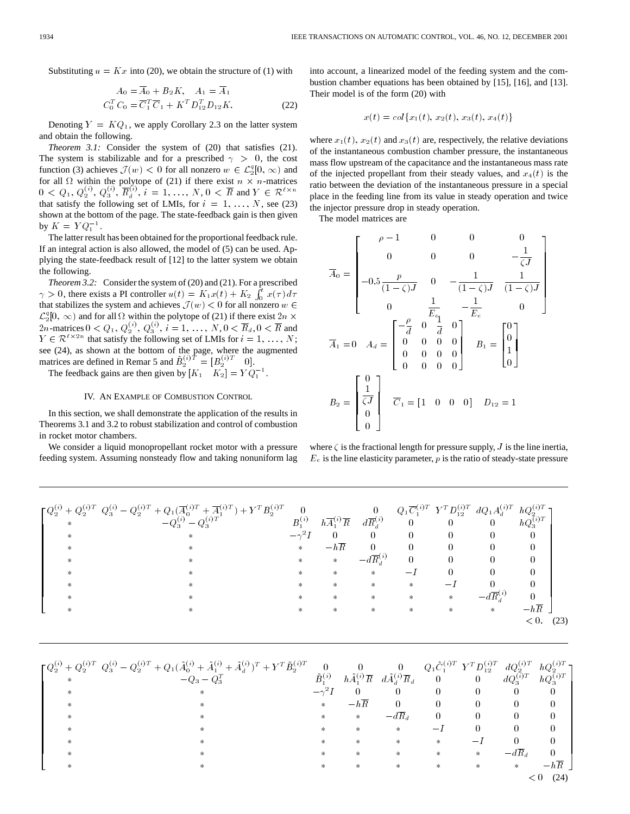Substituting  $u = Kx$  into (20), we obtain the structure of (1) with

$$
A_0 = \overline{A}_0 + B_2 K, \quad A_1 = \overline{A}_1
$$
  

$$
C_0^T C_0 = \overline{C}_1^T \overline{C}_1 + K^T D_{12}^T D_{12} K.
$$
 (22)

Denoting  $Y = KQ_1$ , we apply Corollary 2.3 on the latter system and obtain the following.

*Theorem 3.1:* Consider the system of (20) that satisfies (21). The system is stabilizable and for a prescribed  $\gamma > 0$ , the cost function (3) achieves  $\mathcal{J}(w) < 0$  for all nonzero  $w \in \mathcal{L}_2^q[0, \infty)$  and for all  $\Omega$  within the polytope of (21) if there exist  $n \times n$ -matrices  $0 < Q_1, Q_2^{(i)}, Q_3^{(i)}, \overline{R}_d^{(i)}, i = 1, ..., N, 0 < \overline{R}$  and  $Y \in \mathcal{R}^{\ell \times n}$ that satisfy the following set of LMIs, for  $i = 1, \ldots, N$ , see (23) shown at the bottom of the page. The state-feedback gain is then given by  $K = Y Q_1^{-1}$ .

The latter result has been obtained for the proportional feedback rule. If an integral action is also allowed, the model of (5) can be used. Applying the state-feedback result of [12] to the latter system we obtain the following.

*Theorem 3.2:* Consider the system of (20) and (21). For a prescribed  $\gamma > 0$ , there exists a PI controller  $u(t) = K_1 x(t) + K_2 \int_0^t x(\tau) d\tau$ that stabilizes the system and achieves  $\mathcal{J}(w) < 0$  for all nonzero  $w \in$  $\mathcal{L}_2^q[0,\infty)$  and for all  $\Omega$  within the polytope of (21) if there exist  $2n \times$ 2*n*-matrices  $0 < Q_1, Q_2^{(i)}, Q_3^{(i)}, i = 1, ..., N, 0 < \overline{R}_d, 0 < \overline{R}$  and  $Y \in \mathcal{R}^{\ell \times 2n}$  that satisfy the following set of LMIs for  $i = 1, \ldots, N$ ; see (24), as shown at the bottom of the page, where the augmented matrices are defined in Remar 5 and  $\tilde{B}_2^{(i)T} = [B_2^{(i)T} \quad 0].$ 

The feedback gains are then given by  $[K_1 \quad K_2] = Y Q_1^{-1}$ .

### IV. AN EXAMPLE OF COMBUSTION CONTROL

In this section, we shall demonstrate the application of the results in Theorems 3.1 and 3.2 to robust stabilization and control of combustion in rocket motor chambers.

We consider a liquid monopropellant rocket motor with a pressure feeding system. Assuming nonsteady flow and taking nonuniform lag into account, a linearized model of the feeding system and the combustion chamber equations has been obtained by [15], [16], and [13]. Their model is of the form (20) with

$$
x(t) = col\{x_1(t), x_2(t), x_3(t), x_4(t)\}\
$$

where  $x_1(t)$ ,  $x_2(t)$  and  $x_3(t)$  are, respectively, the relative deviations of the instantaneous combustion chamber pressure, the instantaneous mass flow upstream of the capacitance and the instantaneous mass rate of the injected propellant from their steady values, and  $x_4(t)$  is the ratio between the deviation of the instantaneous pressure in a special place in the feeding line from its value in steady operation and twice the injector pressure drop in steady operation.

The model matrices are

$$
\overline{A}_0 = \begin{bmatrix}\n\rho - 1 & 0 & 0 & 0 & -\frac{1}{\zeta J} \\
0 & 0 & 0 & -\frac{1}{\zeta J} \\
-0.5 \frac{p}{(1-\zeta)J} & 0 & -\frac{1}{(1-\zeta)J} & \frac{1}{(1-\zeta)J} \\
0 & \frac{1}{E_{\epsilon_1}} & -\frac{1}{E_{\epsilon}} & 0 \\
\frac{1}{\zeta J} & 0 & 0 & 0 & 0 \\
0 & 0 & 0 & 0 & 0 \\
0 & 0 & 0 & 0 & 0\n\end{bmatrix}\nB_1 = \begin{bmatrix}\n0 \\
0 \\
1 \\
0\n\end{bmatrix}
$$
\n
$$
B_2 = \begin{bmatrix}\n0 \\
\frac{1}{\zeta J} \\
0 \\
0\n\end{bmatrix}\n\overline{C}_1 = \begin{bmatrix}\n1 & 0 & 0 & 0\n\end{bmatrix}\nD_{12} = 1
$$

where  $\zeta$  is the fractional length for pressure supply,  $J$  is the line inertia,  $E_e$  is the line elasticity parameter, p is the ratio of steady-state pressure

| $\ast$ | $\lceil Q_2^{(i)}+Q_2^{(i)T} \ Q_3^{(i)}-Q_2^{(i)T}+Q_1(\overline{A}_0^{(i)T}+\overline{A}_1^{(i)T})+Y^TB_2^{(i)T}$<br>$-Q_3^{(i)}-Q_3^{(i)T}$<br>$\ast$<br>$^{\ast}$ | $\mathbf{0}$<br>$B_1^{(i)}$<br>$*$ | $h\overline{A}_1^{(i)}\overline{R}$<br>$-h\overline{R}$ | $\overline{0}$<br>$d\overline{R}_{\scriptscriptstyle A}^{(i)}$<br>0<br>$\Omega$ | $\overline{0}$<br>0                    | $\overline{0}$<br>0          | $Q_1 \overline{C}_1^{(i)T} Y^T D_{12}^{(i)T} dQ_1 A_d^{(i)T} hQ_2^{(i)T}$<br>$\overline{0}$<br>0 | $hQ_3^{(i)T}$<br>0 |      |
|--------|-----------------------------------------------------------------------------------------------------------------------------------------------------------------------|------------------------------------|---------------------------------------------------------|---------------------------------------------------------------------------------|----------------------------------------|------------------------------|--------------------------------------------------------------------------------------------------|--------------------|------|
|        | $^{\ast}$                                                                                                                                                             | $\ast$<br>$*$                      | $*$<br>$\ast$<br>$\ast$<br>$\ast$                       | $-d\overline{R}{}^{(i)}$<br>$\ast$<br>$*$<br>*<br>*                             | $\Omega$<br>$\ast$<br>$\ast$<br>$\ast$ | 0<br>$\Omega$<br>$\ast$<br>* | 0<br>$-d\overline{R}{}^{(i)}$<br>*                                                               | $-h\overline{R}$   |      |
|        |                                                                                                                                                                       |                                    |                                                         |                                                                                 |                                        |                              |                                                                                                  | < 0.               | (23) |

|        | $\lceil Q_{2}^{(i)}+Q_{2}^{(i)T} \ Q_{3}^{(i)} - Q_{2}^{(i)T}+Q_{1}(\tilde{A}_{0}^{(i)}+\tilde{A}_{1}^{(i)}+\tilde{A}_{d}^{(i)})^{T}+Y^{T}\tilde{B}_{2}^{(i)T}$ |                     |                                  | $\overline{0}$                     |                          | $Q_1 \tilde{C}_1^{(i)T} Y^T D_{12}^{(i)T}$ | $dQ_2^{(i)T}$         | $hQ_2^{(i)T}$ ]  |
|--------|-----------------------------------------------------------------------------------------------------------------------------------------------------------------|---------------------|----------------------------------|------------------------------------|--------------------------|--------------------------------------------|-----------------------|------------------|
| $\ast$ | $-Q_3 - Q_3^T$                                                                                                                                                  | $\tilde{B}_1^{(i)}$ | $h\tilde{A}_1^{(i)}\overline{R}$ | $d\tilde{A}_d^{(i)}\overline{R}_d$ | $\overline{\phantom{0}}$ | $\overline{0}$                             | $dQ_3^{(\tilde{i})T}$ | $hQ_3^{(i)T}$    |
|        | $\ast$                                                                                                                                                          |                     |                                  | $\theta$                           |                          |                                            |                       | 0                |
|        | $\ast$                                                                                                                                                          | $\ast$              | $-h\overline{R}$                 | 0                                  |                          |                                            |                       |                  |
|        | ж                                                                                                                                                               | $\ast$              | $*$                              | $-d\overline{R}_d$                 |                          |                                            |                       | 0                |
|        | $\ast$                                                                                                                                                          | ∗                   | ∗                                | *                                  |                          |                                            |                       |                  |
|        | $\ast$                                                                                                                                                          | $\ast$              | $\ast$                           | $\ast$                             | $\ast$                   |                                            |                       |                  |
|        | ⋇                                                                                                                                                               | ж                   | $\ast$                           | $\ast$                             |                          | $\ast$                                     | $-dR_d$               |                  |
|        | ⋇                                                                                                                                                               | ∗                   | ∗                                | $\ast$                             | $\ast$                   | ∗                                          | $*$                   | $-h\overline{R}$ |
|        |                                                                                                                                                                 |                     |                                  |                                    |                          |                                            |                       | (24)             |